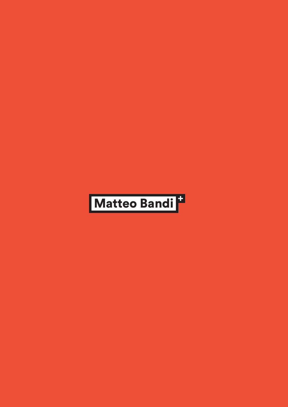# Matteo Bandi<sup>t</sup>